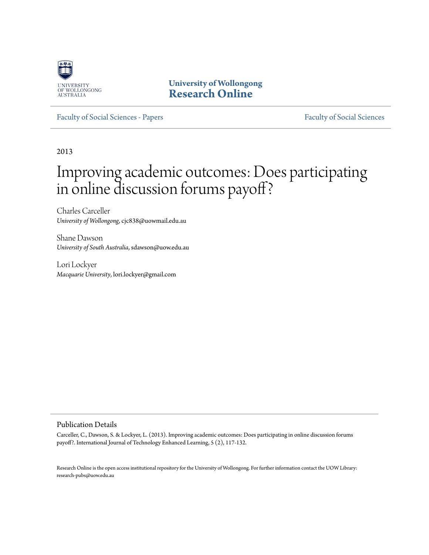

**University of Wollongong [Research Online](http://ro.uow.edu.au)**

[Faculty of Social Sciences - Papers](http://ro.uow.edu.au/sspapers) [Faculty of Social Sciences](http://ro.uow.edu.au/ss)

2013

# Improving academic outcomes: Does participating in online discussion forums payoff?

Charles Carceller *University of Wollongong*, cjc838@uowmail.edu.au

Shane Dawson *University of South Australia*, sdawson@uow.edu.au

Lori Lockyer *Macquarie University*, lori.lockyer@gmail.com

#### Publication Details

Carceller, C., Dawson, S. & Lockyer, L. (2013). Improving academic outcomes: Does participating in online discussion forums payoff?. International Journal of Technology Enhanced Learning, 5 (2), 117-132.

Research Online is the open access institutional repository for the University of Wollongong. For further information contact the UOW Library: research-pubs@uow.edu.au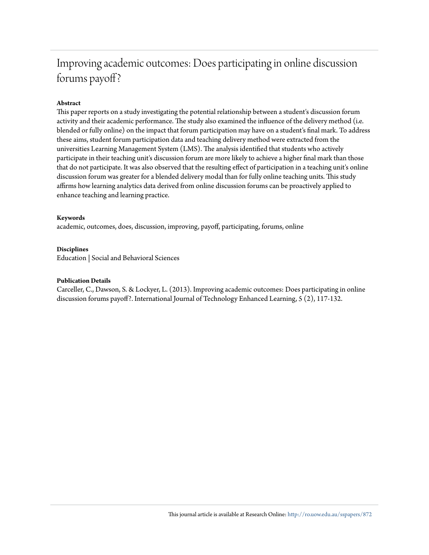# Improving academic outcomes: Does participating in online discussion forums payoff?

## **Abstract**

This paper reports on a study investigating the potential relationship between a student's discussion forum activity and their academic performance. The study also examined the influence of the delivery method (i.e. blended or fully online) on the impact that forum participation may have on a student's final mark. To address these aims, student forum participation data and teaching delivery method were extracted from the universities Learning Management System (LMS). The analysis identified that students who actively participate in their teaching unit's discussion forum are more likely to achieve a higher final mark than those that do not participate. It was also observed that the resulting effect of participation in a teaching unit's online discussion forum was greater for a blended delivery modal than for fully online teaching units. This study affirms how learning analytics data derived from online discussion forums can be proactively applied to enhance teaching and learning practice.

#### **Keywords**

academic, outcomes, does, discussion, improving, payoff, participating, forums, online

#### **Disciplines**

Education | Social and Behavioral Sciences

#### **Publication Details**

Carceller, C., Dawson, S. & Lockyer, L. (2013). Improving academic outcomes: Does participating in online discussion forums payoff?. International Journal of Technology Enhanced Learning, 5 (2), 117-132.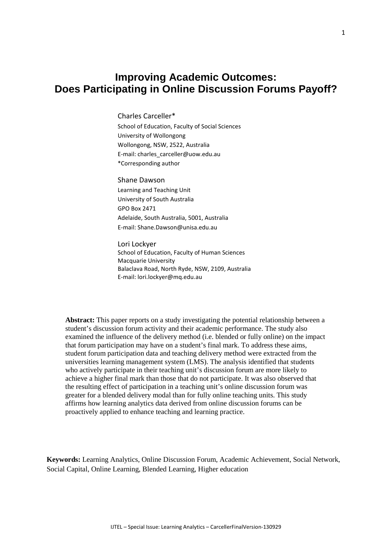# **Improving Academic Outcomes: Does Participating in Online Discussion Forums Payoff?**

Charles Carceller\*

School of Education, Faculty of Social Sciences University of Wollongong Wollongong, NSW, 2522, Australia E-mail: charles\_carceller@uow.edu.au \*Corresponding author

Shane Dawson Learning and Teaching Unit University of South Australia GPO Box 2471 Adelaide, South Australia, 5001, Australia E-mail: Shane.Dawson@unisa.edu.au

Lori Lockyer School of Education, Faculty of Human Sciences Macquarie University Balaclava Road, North Ryde, NSW, 2109, Australia E-mail: lori.lockyer@mq.edu.au

**Abstract:** This paper reports on a study investigating the potential relationship between a student's discussion forum activity and their academic performance. The study also examined the influence of the delivery method (i.e. blended or fully online) on the impact that forum participation may have on a student's final mark. To address these aims, student forum participation data and teaching delivery method were extracted from the universities learning management system (LMS). The analysis identified that students who actively participate in their teaching unit's discussion forum are more likely to achieve a higher final mark than those that do not participate. It was also observed that the resulting effect of participation in a teaching unit's online discussion forum was greater for a blended delivery modal than for fully online teaching units. This study affirms how learning analytics data derived from online discussion forums can be proactively applied to enhance teaching and learning practice.

**Keywords:** Learning Analytics, Online Discussion Forum, Academic Achievement, Social Network, Social Capital, Online Learning, Blended Learning, Higher education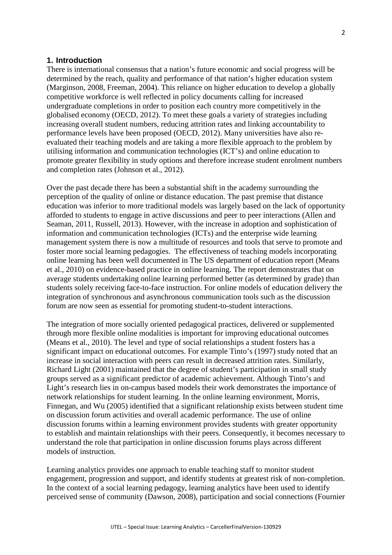## **1. Introduction**

There is international consensus that a nation's future economic and social progress will be determined by the reach, quality and performance of that nation's higher education system (Marginson, 2008, Freeman, 2004). This reliance on higher education to develop a globally competitive workforce is well reflected in policy documents calling for increased undergraduate completions in order to position each country more competitively in the globalised economy (OECD, 2012). To meet these goals a variety of strategies including increasing overall student numbers, reducing attrition rates and linking accountability to performance levels have been proposed (OECD, 2012). Many universities have also reevaluated their teaching models and are taking a more flexible approach to the problem by utilising information and communication technologies (ICT's) and online education to promote greater flexibility in study options and therefore increase student enrolment numbers and completion rates (Johnson et al., 2012).

Over the past decade there has been a substantial shift in the academy surrounding the perception of the quality of online or distance education. The past premise that distance education was inferior to more traditional models was largely based on the lack of opportunity afforded to students to engage in active discussions and peer to peer interactions (Allen and Seaman, 2011, Russell, 2013). However, with the increase in adoption and sophistication of information and communication technologies (ICTs) and the enterprise wide learning management system there is now a multitude of resources and tools that serve to promote and foster more social learning pedagogies. The effectiveness of teaching models incorporating online learning has been well documented in The US department of education report (Means et al., 2010) on evidence-based practice in online learning. The report demonstrates that on average students undertaking online learning performed better (as determined by grade) than students solely receiving face-to-face instruction. For online models of education delivery the integration of synchronous and asynchronous communication tools such as the discussion forum are now seen as essential for promoting student-to-student interactions.

The integration of more socially oriented pedagogical practices, delivered or supplemented through more flexible online modalities is important for improving educational outcomes (Means et al., 2010). The level and type of social relationships a student fosters has a significant impact on educational outcomes. For example Tinto's (1997) study noted that an increase in social interaction with peers can result in decreased attrition rates. Similarly, Richard Light (2001) maintained that the degree of student's participation in small study groups served as a significant predictor of academic achievement. Although Tinto's and Light's research lies in on-campus based models their work demonstrates the importance of network relationships for student learning. In the online learning environment, Morris, Finnegan, and Wu (2005) identified that a significant relationship exists between student time on discussion forum activities and overall academic performance. The use of online discussion forums within a learning environment provides students with greater opportunity to establish and maintain relationships with their peers. Consequently, it becomes necessary to understand the role that participation in online discussion forums plays across different models of instruction.

Learning analytics provides one approach to enable teaching staff to monitor student engagement, progression and support, and identify students at greatest risk of non-completion. In the context of a social learning pedagogy, learning analytics have been used to identify perceived sense of community (Dawson, 2008), participation and social connections (Fournier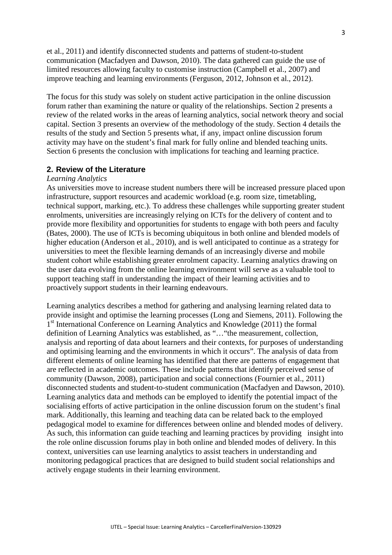et al., 2011) and identify disconnected students and patterns of student-to-student communication (Macfadyen and Dawson, 2010). The data gathered can guide the use of limited resources allowing faculty to customise instruction (Campbell et al., 2007) and improve teaching and learning environments (Ferguson, 2012, Johnson et al., 2012).

The focus for this study was solely on student active participation in the online discussion forum rather than examining the nature or quality of the relationships. Section 2 presents a review of the related works in the areas of learning analytics, social network theory and social capital. Section 3 presents an overview of the methodology of the study. Section 4 details the results of the study and Section 5 presents what, if any, impact online discussion forum activity may have on the student's final mark for fully online and blended teaching units. Section 6 presents the conclusion with implications for teaching and learning practice.

# **2. Review of the Literature**

#### *Learning Analytics*

As universities move to increase student numbers there will be increased pressure placed upon infrastructure, support resources and academic workload (e.g. room size, timetabling, technical support, marking, etc.). To address these challenges while supporting greater student enrolments, universities are increasingly relying on ICTs for the delivery of content and to provide more flexibility and opportunities for students to engage with both peers and faculty (Bates, 2000). The use of ICTs is becoming ubiquitous in both online and blended models of higher education (Anderson et al., 2010), and is well anticipated to continue as a strategy for universities to meet the flexible learning demands of an increasingly diverse and mobile student cohort while establishing greater enrolment capacity. Learning analytics drawing on the user data evolving from the online learning environment will serve as a valuable tool to support teaching staff in understanding the impact of their learning activities and to proactively support students in their learning endeavours.

Learning analytics describes a method for gathering and analysing learning related data to provide insight and optimise the learning processes (Long and Siemens, 2011). Following the 1<sup>st</sup> International Conference on Learning Analytics and Knowledge (2011) the formal definition of Learning Analytics was established, as "…"the measurement, collection, analysis and reporting of data about learners and their contexts, for purposes of understanding and optimising learning and the environments in which it occurs". The analysis of data from different elements of online learning has identified that there are patterns of engagement that are reflected in academic outcomes. These include patterns that identify perceived sense of community (Dawson, 2008), participation and social connections (Fournier et al., 2011) disconnected students and student-to-student communication (Macfadyen and Dawson, 2010). Learning analytics data and methods can be employed to identify the potential impact of the socialising efforts of active participation in the online discussion forum on the student's final mark. Additionally, this learning and teaching data can be related back to the employed pedagogical model to examine for differences between online and blended modes of delivery. As such, this information can guide teaching and learning practices by providing insight into the role online discussion forums play in both online and blended modes of delivery. In this context, universities can use learning analytics to assist teachers in understanding and monitoring pedagogical practices that are designed to build student social relationships and actively engage students in their learning environment.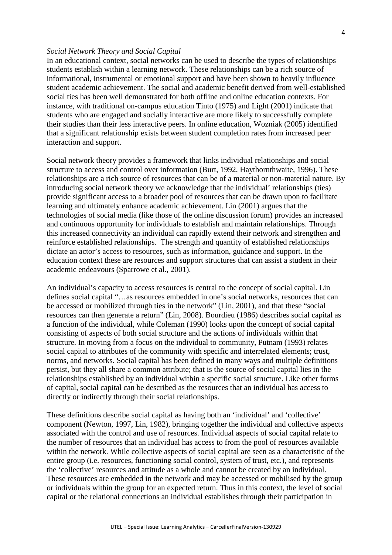### *Social Network Theory and Social Capital*

In an educational context, social networks can be used to describe the types of relationships students establish within a learning network. These relationships can be a rich source of informational, instrumental or emotional support and have been shown to heavily influence student academic achievement. The social and academic benefit derived from well-established social ties has been well demonstrated for both offline and online education contexts. For instance, with traditional on-campus education Tinto (1975) and Light (2001) indicate that students who are engaged and socially interactive are more likely to successfully complete their studies than their less interactive peers. In online education, Wozniak (2005) identified that a significant relationship exists between student completion rates from increased peer interaction and support.

Social network theory provides a framework that links individual relationships and social structure to access and control over information (Burt, 1992, Haythornthwaite, 1996). These relationships are a rich source of resources that can be of a material or non-material nature. By introducing social network theory we acknowledge that the individual' relationships (ties) provide significant access to a broader pool of resources that can be drawn upon to facilitate learning and ultimately enhance academic achievement. Lin (2001) argues that the technologies of social media (like those of the online discussion forum) provides an increased and continuous opportunity for individuals to establish and maintain relationships. Through this increased connectivity an individual can rapidly extend their network and strengthen and reinforce established relationships. The strength and quantity of established relationships dictate an actor's access to resources, such as information, guidance and support. In the education context these are resources and support structures that can assist a student in their academic endeavours (Sparrowe et al., 2001).

An individual's capacity to access resources is central to the concept of social capital. Lin defines social capital "…as resources embedded in one's social networks, resources that can be accessed or mobilized through ties in the network" (Lin, 2001), and that these "social resources can then generate a return" (Lin, 2008). Bourdieu (1986) describes social capital as a function of the individual, while Coleman (1990) looks upon the concept of social capital consisting of aspects of both social structure and the actions of individuals within that structure. In moving from a focus on the individual to community, Putnam (1993) relates social capital to attributes of the community with specific and interrelated elements; trust, norms, and networks. Social capital has been defined in many ways and multiple definitions persist, but they all share a common attribute; that is the source of social capital lies in the relationships established by an individual within a specific social structure. Like other forms of capital, social capital can be described as the resources that an individual has access to directly or indirectly through their social relationships.

These definitions describe social capital as having both an 'individual' and 'collective' component (Newton, 1997, Lin, 1982), bringing together the individual and collective aspects associated with the control and use of resources. Individual aspects of social capital relate to the number of resources that an individual has access to from the pool of resources available within the network. While collective aspects of social capital are seen as a characteristic of the entire group (i.e. resources, functioning social control, system of trust, etc.), and represents the 'collective' resources and attitude as a whole and cannot be created by an individual. These resources are embedded in the network and may be accessed or mobilised by the group or individuals within the group for an expected return. Thus in this context, the level of social capital or the relational connections an individual establishes through their participation in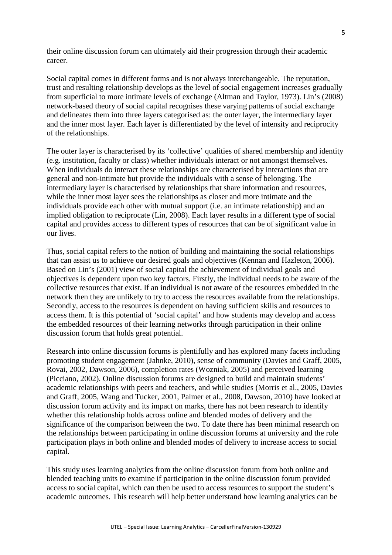their online discussion forum can ultimately aid their progression through their academic career.

Social capital comes in different forms and is not always interchangeable. The reputation, trust and resulting relationship develops as the level of social engagement increases gradually from superficial to more intimate levels of exchange (Altman and Taylor, 1973). Lin's (2008) network-based theory of social capital recognises these varying patterns of social exchange and delineates them into three layers categorised as: the outer layer, the intermediary layer and the inner most layer. Each layer is differentiated by the level of intensity and reciprocity of the relationships.

The outer layer is characterised by its 'collective' qualities of shared membership and identity (e.g. institution, faculty or class) whether individuals interact or not amongst themselves. When individuals do interact these relationships are characterised by interactions that are general and non-intimate but provide the individuals with a sense of belonging. The intermediary layer is characterised by relationships that share information and resources, while the inner most layer sees the relationships as closer and more intimate and the individuals provide each other with mutual support (i.e. an intimate relationship) and an implied obligation to reciprocate (Lin, 2008). Each layer results in a different type of social capital and provides access to different types of resources that can be of significant value in our lives.

Thus, social capital refers to the notion of building and maintaining the social relationships that can assist us to achieve our desired goals and objectives (Kennan and Hazleton, 2006). Based on Lin's (2001) view of social capital the achievement of individual goals and objectives is dependent upon two key factors. Firstly, the individual needs to be aware of the collective resources that exist. If an individual is not aware of the resources embedded in the network then they are unlikely to try to access the resources available from the relationships. Secondly, access to the resources is dependent on having sufficient skills and resources to access them. It is this potential of 'social capital' and how students may develop and access the embedded resources of their learning networks through participation in their online discussion forum that holds great potential.

Research into online discussion forums is plentifully and has explored many facets including promoting student engagement (Jahnke, 2010), sense of community (Davies and Graff, 2005, Rovai, 2002, Dawson, 2006), completion rates (Wozniak, 2005) and perceived learning (Picciano, 2002). Online discussion forums are designed to build and maintain students' academic relationships with peers and teachers, and while studies (Morris et al., 2005, Davies and Graff, 2005, Wang and Tucker, 2001, Palmer et al., 2008, Dawson, 2010) have looked at discussion forum activity and its impact on marks, there has not been research to identify whether this relationship holds across online and blended modes of delivery and the significance of the comparison between the two. To date there has been minimal research on the relationships between participating in online discussion forums at university and the role participation plays in both online and blended modes of delivery to increase access to social capital.

This study uses learning analytics from the online discussion forum from both online and blended teaching units to examine if participation in the online discussion forum provided access to social capital, which can then be used to access resources to support the student's academic outcomes. This research will help better understand how learning analytics can be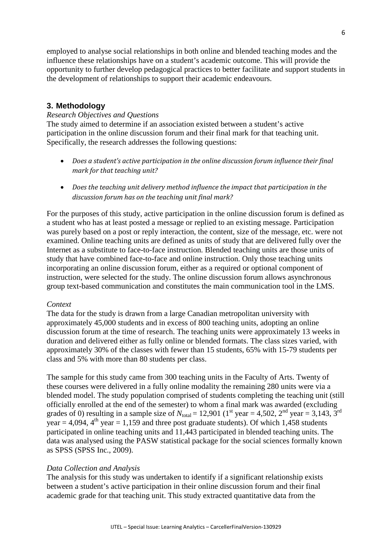employed to analyse social relationships in both online and blended teaching modes and the influence these relationships have on a student's academic outcome. This will provide the opportunity to further develop pedagogical practices to better facilitate and support students in the development of relationships to support their academic endeavours.

# **3. Methodology**

# *Research Objectives and Questions*

The study aimed to determine if an association existed between a student's active participation in the online discussion forum and their final mark for that teaching unit. Specifically, the research addresses the following questions:

- *Does a student's active participation in the online discussion forum influence their final mark for that teaching unit?*
- *Does the teaching unit delivery method influence the impact that participation in the discussion forum has on the teaching unit final mark?*

For the purposes of this study, active participation in the online discussion forum is defined as a student who has at least posted a message or replied to an existing message. Participation was purely based on a post or reply interaction, the content, size of the message, etc. were not examined. Online teaching units are defined as units of study that are delivered fully over the Internet as a substitute to face-to-face instruction. Blended teaching units are those units of study that have combined face-to-face and online instruction. Only those teaching units incorporating an online discussion forum, either as a required or optional component of instruction, were selected for the study. The online discussion forum allows asynchronous group text-based communication and constitutes the main communication tool in the LMS.

# *Context*

The data for the study is drawn from a large Canadian metropolitan university with approximately 45,000 students and in excess of 800 teaching units, adopting an online discussion forum at the time of research. The teaching units were approximately 13 weeks in duration and delivered either as fully online or blended formats. The class sizes varied, with approximately 30% of the classes with fewer than 15 students, 65% with 15-79 students per class and 5% with more than 80 students per class.

The sample for this study came from 300 teaching units in the Faculty of Arts. Twenty of these courses were delivered in a fully online modality the remaining 280 units were via a blended model. The study population comprised of students completing the teaching unit (still officially enrolled at the end of the semester) to whom a final mark was awarded (excluding grades of 0) resulting in a sample size of  $N_{\text{total}} = 12,901$  (1<sup>st</sup> year = 4,502, 2<sup>nd</sup> year = 3,143, 3<sup>rd</sup> year = 4,094,  $4<sup>th</sup>$  year = 1,159 and three post graduate students). Of which 1,458 students participated in online teaching units and 11,443 participated in blended teaching units. The data was analysed using the PASW statistical package for the social sciences formally known as SPSS (SPSS Inc., 2009).

# *Data Collection and Analysis*

The analysis for this study was undertaken to identify if a significant relationship exists between a student's active participation in their online discussion forum and their final academic grade for that teaching unit. This study extracted quantitative data from the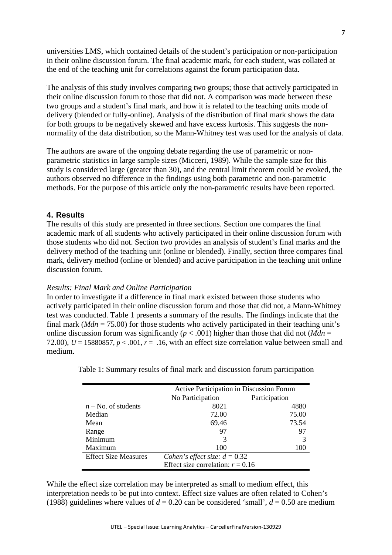universities LMS, which contained details of the student's participation or non-participation in their online discussion forum. The final academic mark, for each student, was collated at the end of the teaching unit for correlations against the forum participation data.

The analysis of this study involves comparing two groups; those that actively participated in their online discussion forum to those that did not. A comparison was made between these two groups and a student's final mark, and how it is related to the teaching units mode of delivery (blended or fully-online). Analysis of the distribution of final mark shows the data for both groups to be negatively skewed and have excess kurtosis. This suggests the nonnormality of the data distribution, so the Mann-Whitney test was used for the analysis of data.

The authors are aware of the ongoing debate regarding the use of parametric or nonparametric statistics in large sample sizes (Micceri, 1989). While the sample size for this study is considered large (greater than 30), and the central limit theorem could be evoked, the authors observed no difference in the findings using both parametric and non-parametric methods. For the purpose of this article only the non-parametric results have been reported.

# **4. Results**

The results of this study are presented in three sections. Section one compares the final academic mark of all students who actively participated in their online discussion forum with those students who did not. Section two provides an analysis of student's final marks and the delivery method of the teaching unit (online or blended). Finally, section three compares final mark, delivery method (online or blended) and active participation in the teaching unit online discussion forum.

#### *Results: Final Mark and Online Participation*

In order to investigate if a difference in final mark existed between those students who actively participated in their online discussion forum and those that did not, a Mann-Whitney test was conducted. Table 1 presents a summary of the results. The findings indicate that the final mark (*Mdn* = 75.00) for those students who actively participated in their teaching unit's online discussion forum was significantly ( $p < .001$ ) higher than those that did not (*Mdn* = 72.00),  $U = 15880857$ ,  $p < .001$ ,  $r = .16$ , with an effect size correlation value between small and medium.

|                             | Active Participation in Discussion Forum |               |  |  |
|-----------------------------|------------------------------------------|---------------|--|--|
|                             | No Participation                         | Participation |  |  |
| $n$ – No. of students       | 8021                                     | 4880          |  |  |
| Median                      | 72.00                                    | 75.00         |  |  |
| Mean                        | 69.46                                    | 73.54         |  |  |
| Range                       | 97                                       | 97            |  |  |
| Minimum                     | 3                                        | 3             |  |  |
| Maximum                     | 100                                      | 100           |  |  |
| <b>Effect Size Measures</b> | Cohen's effect size: $d = 0.32$          |               |  |  |
|                             | Effect size correlation: $r = 0.16$      |               |  |  |

Table 1: Summary results of final mark and discussion forum participation

While the effect size correlation may be interpreted as small to medium effect, this interpretation needs to be put into context. Effect size values are often related to Cohen's (1988) guidelines where values of  $d = 0.20$  can be considered 'small',  $d = 0.50$  are medium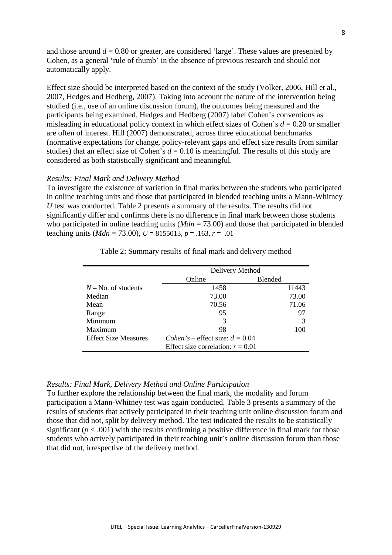and those around  $d = 0.80$  or greater, are considered 'large'. These values are presented by Cohen, as a general 'rule of thumb' in the absence of previous research and should not automatically apply.

Effect size should be interpreted based on the context of the study (Volker, 2006, Hill et al., 2007, Hedges and Hedberg, 2007). Taking into account the nature of the intervention being studied (i.e., use of an online discussion forum), the outcomes being measured and the participants being examined. Hedges and Hedberg (2007) label Cohen's conventions as misleading in educational policy context in which effect sizes of Cohen's  $d = 0.20$  or smaller are often of interest. Hill (2007) demonstrated, across three educational benchmarks (normative expectations for change, policy-relevant gaps and effect size results from similar studies) that an effect size of Cohen's  $d = 0.10$  is meaningful. The results of this study are considered as both statistically significant and meaningful.

#### *Results: Final Mark and Delivery Method*

To investigate the existence of variation in final marks between the students who participated in online teaching units and those that participated in blended teaching units a Mann-Whitney *U* test was conducted. Table 2 presents a summary of the results. The results did not significantly differ and confirms there is no difference in final mark between those students who participated in online teaching units ( $Mdn = 73.00$ ) and those that participated in blended teaching units ( $Mdn = 73.00$ ),  $U = 8155013$ ,  $p = .163$ ,  $r = .01$ 

|                             | Delivery Method                          |         |  |  |
|-----------------------------|------------------------------------------|---------|--|--|
|                             | Online                                   | Blended |  |  |
| $N - No$ , of students      | 1458                                     | 11443   |  |  |
| Median                      | 73.00                                    | 73.00   |  |  |
| Mean                        | 70.56                                    | 71.06   |  |  |
| Range                       | 95                                       | 97      |  |  |
| Minimum                     | 3                                        | 3       |  |  |
| Maximum                     | 98                                       | 100     |  |  |
| <b>Effect Size Measures</b> | <i>Cohen's</i> – effect size: $d = 0.04$ |         |  |  |
|                             | Effect size correlation: $r = 0.01$      |         |  |  |

Table 2: Summary results of final mark and delivery method

#### *Results: Final Mark, Delivery Method and Online Participation*

To further explore the relationship between the final mark, the modality and forum participation a Mann-Whitney test was again conducted. Table 3 presents a summary of the results of students that actively participated in their teaching unit online discussion forum and those that did not, split by delivery method. The test indicated the results to be statistically significant  $(p < .001)$  with the results confirming a positive difference in final mark for those students who actively participated in their teaching unit's online discussion forum than those that did not, irrespective of the delivery method.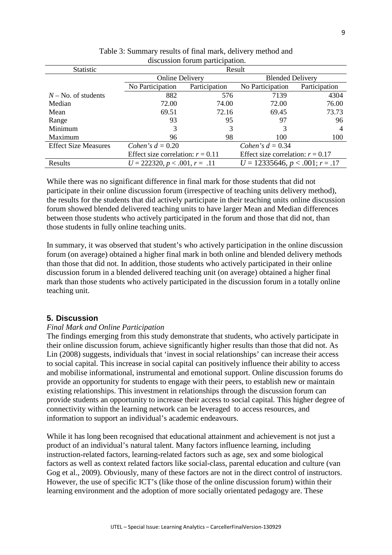| <b>Statistic</b>            | Result                              |               |                                     |                |  |
|-----------------------------|-------------------------------------|---------------|-------------------------------------|----------------|--|
|                             | <b>Online Delivery</b>              |               | <b>Blended Delivery</b>             |                |  |
|                             | No Participation                    | Participation | No Participation                    | Participation  |  |
| $N$ – No. of students       | 882                                 | 576           | 7139                                | 4304           |  |
| Median                      | 72.00                               | 74.00         | 72.00                               | 76.00          |  |
| Mean                        | 69.51                               | 72.16         | 69.45                               | 73.73          |  |
| Range                       | 93                                  | 95            | 97                                  | 96             |  |
| Minimum                     | 3                                   | 3             | 3                                   | $\overline{4}$ |  |
| Maximum                     | 96                                  | 98            | 100                                 | 100            |  |
| <b>Effect Size Measures</b> | Cohen's $d = 0.20$                  |               | Cohen's $d = 0.34$                  |                |  |
|                             | Effect size correlation: $r = 0.11$ |               | Effect size correlation: $r = 0.17$ |                |  |
| Results                     | $U = 222320, p < .001, r = .11$     |               | $U = 12335646, p < .001; r = .17$   |                |  |
|                             |                                     |               |                                     |                |  |

Table 3: Summary results of final mark, delivery method and discussion forum participation.

While there was no significant difference in final mark for those students that did not participate in their online discussion forum (irrespective of teaching units delivery method), the results for the students that did actively participate in their teaching units online discussion forum showed blended delivered teaching units to have larger Mean and Median differences between those students who actively participated in the forum and those that did not, than those students in fully online teaching units.

In summary, it was observed that student's who actively participation in the online discussion forum (on average) obtained a higher final mark in both online and blended delivery methods than those that did not. In addition, those students who actively participated in their online discussion forum in a blended delivered teaching unit (on average) obtained a higher final mark than those students who actively participated in the discussion forum in a totally online teaching unit.

# **5. Discussion**

### *Final Mark and Online Participation*

The findings emerging from this study demonstrate that students, who actively participate in their online discussion forum, achieve significantly higher results than those that did not. As Lin (2008) suggests, individuals that 'invest in social relationships' can increase their access to social capital. This increase in social capital can positively influence their ability to access and mobilise informational, instrumental and emotional support. Online discussion forums do provide an opportunity for students to engage with their peers, to establish new or maintain existing relationships. This investment in relationships through the discussion forum can provide students an opportunity to increase their access to social capital. This higher degree of connectivity within the learning network can be leveraged to access resources, and information to support an individual's academic endeavours.

While it has long been recognised that educational attainment and achievement is not just a product of an individual's natural talent. Many factors influence learning, including instruction-related factors, learning-related factors such as age, sex and some biological factors as well as context related factors like social-class, parental education and culture (van Gog et al., 2009). Obviously, many of these factors are not in the direct control of instructors. However, the use of specific ICT's (like those of the online discussion forum) within their learning environment and the adoption of more socially orientated pedagogy are. These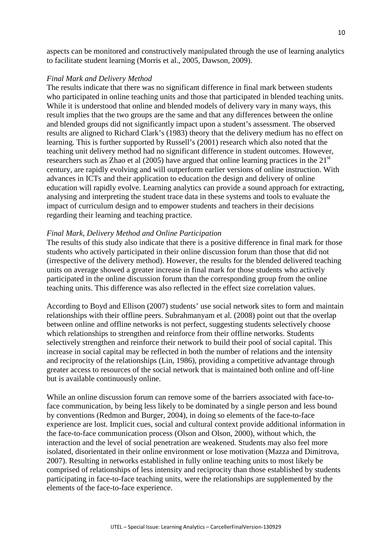aspects can be monitored and constructively manipulated through the use of learning analytics to facilitate student learning (Morris et al., 2005, Dawson, 2009).

#### *Final Mark and Delivery Method*

The results indicate that there was no significant difference in final mark between students who participated in online teaching units and those that participated in blended teaching units. While it is understood that online and blended models of delivery vary in many ways, this result implies that the two groups are the same and that any differences between the online and blended groups did not significantly impact upon a student's assessment. The observed results are aligned to Richard Clark's (1983) theory that the delivery medium has no effect on learning. This is further supported by Russell's (2001) research which also noted that the teaching unit delivery method had no significant difference in student outcomes. However, researchers such as Zhao et al  $(2005)$  have argued that online learning practices in the  $21<sup>st</sup>$ century, are rapidly evolving and will outperform earlier versions of online instruction. With advances in ICTs and their application to education the design and delivery of online education will rapidly evolve. Learning analytics can provide a sound approach for extracting, analysing and interpreting the student trace data in these systems and tools to evaluate the impact of curriculum design and to empower students and teachers in their decisions regarding their learning and teaching practice.

#### *Final Mark, Delivery Method and Online Participation*

The results of this study also indicate that there is a positive difference in final mark for those students who actively participated in their online discussion forum than those that did not (irrespective of the delivery method). However, the results for the blended delivered teaching units on average showed a greater increase in final mark for those students who actively participated in the online discussion forum than the corresponding group from the online teaching units. This difference was also reflected in the effect size correlation values.

According to Boyd and Ellison (2007) students' use social network sites to form and maintain relationships with their offline peers. Subrahmanyam et al. (2008) point out that the overlap between online and offline networks is not perfect, suggesting students selectively choose which relationships to strengthen and reinforce from their offline networks. Students selectively strengthen and reinforce their network to build their pool of social capital. This increase in social capital may be reflected in both the number of relations and the intensity and reciprocity of the relationships (Lin, 1986), providing a competitive advantage through greater access to resources of the social network that is maintained both online and off-line but is available continuously online.

While an online discussion forum can remove some of the barriers associated with face-toface communication, by being less likely to be dominated by a single person and less bound by conventions (Redmon and Burger, 2004), in doing so elements of the face-to-face experience are lost. Implicit cues, social and cultural context provide additional information in the face-to-face communication process (Olson and Olson, 2000), without which, the interaction and the level of social penetration are weakened. Students may also feel more isolated, disorientated in their online environment or lose motivation (Mazza and Dimitrova, 2007). Resulting in networks established in fully online teaching units to most likely be comprised of relationships of less intensity and reciprocity than those established by students participating in face-to-face teaching units, were the relationships are supplemented by the elements of the face-to-face experience.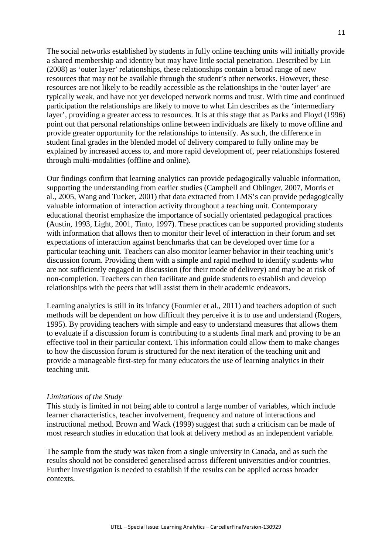The social networks established by students in fully online teaching units will initially provide a shared membership and identity but may have little social penetration. Described by Lin (2008) as 'outer layer' relationships, these relationships contain a broad range of new resources that may not be available through the student's other networks. However, these resources are not likely to be readily accessible as the relationships in the 'outer layer' are typically weak, and have not yet developed network norms and trust. With time and continued participation the relationships are likely to move to what Lin describes as the 'intermediary layer', providing a greater access to resources. It is at this stage that as Parks and Floyd (1996) point out that personal relationships online between individuals are likely to move offline and provide greater opportunity for the relationships to intensify. As such, the difference in student final grades in the blended model of delivery compared to fully online may be explained by increased access to, and more rapid development of, peer relationships fostered through multi-modalities (offline and online).

Our findings confirm that learning analytics can provide pedagogically valuable information, supporting the understanding from earlier studies (Campbell and Oblinger, 2007, Morris et al., 2005, Wang and Tucker, 2001) that data extracted from LMS's can provide pedagogically valuable information of interaction activity throughout a teaching unit. Contemporary educational theorist emphasize the importance of socially orientated pedagogical practices (Austin, 1993, Light, 2001, Tinto, 1997). These practices can be supported providing students with information that allows then to monitor their level of interaction in their forum and set expectations of interaction against benchmarks that can be developed over time for a particular teaching unit. Teachers can also monitor learner behavior in their teaching unit's discussion forum. Providing them with a simple and rapid method to identify students who are not sufficiently engaged in discussion (for their mode of delivery) and may be at risk of non-completion. Teachers can then facilitate and guide students to establish and develop relationships with the peers that will assist them in their academic endeavors.

Learning analytics is still in its infancy (Fournier et al., 2011) and teachers adoption of such methods will be dependent on how difficult they perceive it is to use and understand (Rogers, 1995). By providing teachers with simple and easy to understand measures that allows them to evaluate if a discussion forum is contributing to a students final mark and proving to be an effective tool in their particular context. This information could allow them to make changes to how the discussion forum is structured for the next iteration of the teaching unit and provide a manageable first-step for many educators the use of learning analytics in their teaching unit.

#### *Limitations of the Study*

This study is limited in not being able to control a large number of variables, which include learner characteristics, teacher involvement, frequency and nature of interactions and instructional method. Brown and Wack (1999) suggest that such a criticism can be made of most research studies in education that look at delivery method as an independent variable.

The sample from the study was taken from a single university in Canada, and as such the results should not be considered generalised across different universities and/or countries. Further investigation is needed to establish if the results can be applied across broader contexts.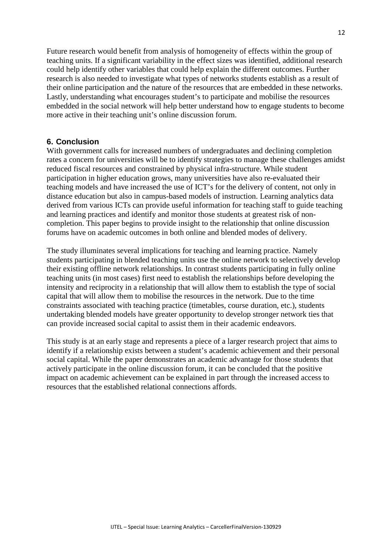Future research would benefit from analysis of homogeneity of effects within the group of teaching units. If a significant variability in the effect sizes was identified, additional research could help identify other variables that could help explain the different outcomes. Further research is also needed to investigate what types of networks students establish as a result of their online participation and the nature of the resources that are embedded in these networks. Lastly, understanding what encourages student's to participate and mobilise the resources embedded in the social network will help better understand how to engage students to become more active in their teaching unit's online discussion forum.

# **6. Conclusion**

With government calls for increased numbers of undergraduates and declining completion rates a concern for universities will be to identify strategies to manage these challenges amidst reduced fiscal resources and constrained by physical infra-structure. While student participation in higher education grows, many universities have also re-evaluated their teaching models and have increased the use of ICT's for the delivery of content, not only in distance education but also in campus-based models of instruction. Learning analytics data derived from various ICTs can provide useful information for teaching staff to guide teaching and learning practices and identify and monitor those students at greatest risk of noncompletion. This paper begins to provide insight to the relationship that online discussion forums have on academic outcomes in both online and blended modes of delivery.

The study illuminates several implications for teaching and learning practice. Namely students participating in blended teaching units use the online network to selectively develop their existing offline network relationships. In contrast students participating in fully online teaching units (in most cases) first need to establish the relationships before developing the intensity and reciprocity in a relationship that will allow them to establish the type of social capital that will allow them to mobilise the resources in the network. Due to the time constraints associated with teaching practice (timetables, course duration, etc.), students undertaking blended models have greater opportunity to develop stronger network ties that can provide increased social capital to assist them in their academic endeavors.

This study is at an early stage and represents a piece of a larger research project that aims to identify if a relationship exists between a student's academic achievement and their personal social capital. While the paper demonstrates an academic advantage for those students that actively participate in the online discussion forum, it can be concluded that the positive impact on academic achievement can be explained in part through the increased access to resources that the established relational connections affords.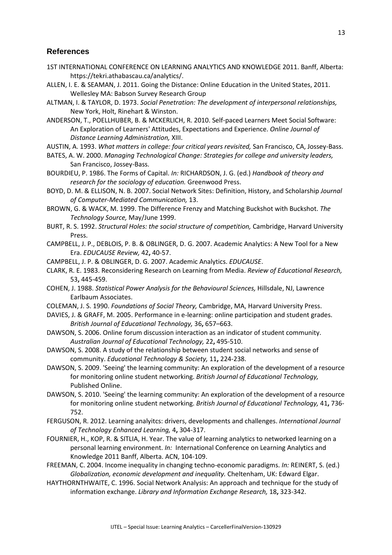## **References**

- 1ST INTERNATIONAL CONFERENCE ON LEARNING ANALYTICS AND KNOWLEDGE 2011. Banff, Alberta: https://tekri.athabascau.ca/analytics/.
- ALLEN, I. E. & SEAMAN, J. 2011. Going the Distance: Online Education in the United States, 2011. Wellesley MA: Babson Survey Research Group
- ALTMAN, I. & TAYLOR, D. 1973. *Social Penetration: The development of interpersonal relationships,*  New York, Holt, Rinehart & Winston.

ANDERSON, T., POELLHUBER, B. & MCKERLICH, R. 2010. Self-paced Learners Meet Social Software: An Exploration of Learners' Attitudes, Expectations and Experience. *Online Journal of Distance Learning Administration,* XIII.

- AUSTIN, A. 1993. *What matters in college: four critical years revisited,* San Francisco, CA, Jossey-Bass.
- BATES, A. W. 2000. *Managing Technological Change: Strategies for college and university leaders,*  San Francisco, Jossey-Bass.
- BOURDIEU, P. 1986. The Forms of Capital. *In:* RICHARDSON, J. G. (ed.) *Handbook of theory and research for the sociology of education.* Greenwood Press.
- BOYD, D. M. & ELLISON, N. B. 2007. Social Network Sites: Definition, History, and Scholarship *Journal of Computer-Mediated Communication,* 13.
- BROWN, G. & WACK, M. 1999. The Difference Frenzy and Matching Buckshot with Buckshot. *The Technology Source,* May/June 1999.
- BURT, R. S. 1992. *Structural Holes: the social structure of competition,* Cambridge, Harvard University Press.
- CAMPBELL, J. P., DEBLOIS, P. B. & OBLINGER, D. G. 2007. Academic Analytics: A New Tool for a New Era. *EDUCAUSE Review,* 42**,** 40-57.
- CAMPBELL, J. P. & OBLINGER, D. G. 2007. Academic Analytics. *EDUCAUSE*.
- CLARK, R. E. 1983. Reconsidering Research on Learning from Media. *Review of Educational Research,* 53**,** 445-459.
- COHEN, J. 1988. *Statistical Power Analysis for the Behavioural Sciences,* Hillsdale, NJ, Lawrence Earlbaum Associates.
- COLEMAN, J. S. 1990. *Foundations of Social Theory,* Cambridge, MA, Harvard University Press.
- DAVIES, J. & GRAFF, M. 2005. Performance in e-learning: online participation and student grades. *British Journal of Educational Technology,* 36**,** 657–663.
- DAWSON, S. 2006. Online forum discussion interaction as an indicator of student community. *Australian Journal of Educational Technology,* 22**,** 495-510.
- DAWSON, S. 2008. A study of the relationship between student social networks and sense of community. *Educational Technology & Society,* 11**,** 224-238.
- DAWSON, S. 2009. 'Seeing' the learning community: An exploration of the development of a resource for monitoring online student networking. *British Journal of Educational Technology,* Published Online.
- DAWSON, S. 2010. 'Seeing' the learning community: An exploration of the development of a resource for monitoring online student networking. *British Journal of Educational Technology,* 41**,** 736- 752.
- FERGUSON, R. 2012. Learning analyitcs: drivers, developments and challenges. *International Journal of Technology Enhanced Learning,* 4**,** 304-317.
- FOURNIER, H., KOP, R. & SITLIA, H. Year. The value of learning analytics to networked learning on a personal learning environment. *In:* International Conference on Learning Analytics and Knowledge 2011 Banff, Alberta. ACN, 104-109.
- FREEMAN, C. 2004. Income inequality in changing techno-economic paradigms. *In:* REINERT, S. (ed.) *Globalization, economic development and inequality.* Cheltenham, UK: Edward Elgar.
- HAYTHORNTHWAITE, C. 1996. Social Network Analysis: An approach and technique for the study of information exchange. *Library and Information Exchange Research,* 18**,** 323-342.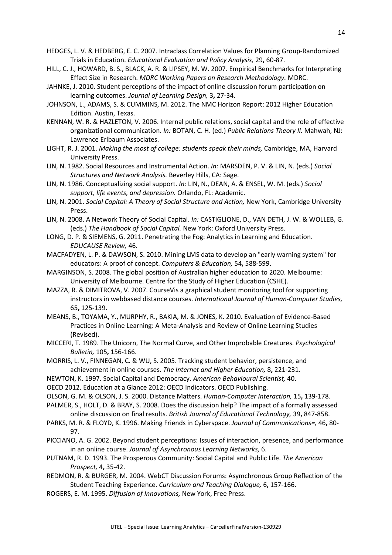- HEDGES, L. V. & HEDBERG, E. C. 2007. Intraclass Correlation Values for Planning Group-Randomized Trials in Education. *Educational Evaluation and Policy Analysis,* 29**,** 60-87.
- HILL, C. J., HOWARD, B. S., BLACK, A. R. & LIPSEY, M. W. 2007. Empirical Benchmarks for Interpreting Effect Size in Research. *MDRC Working Papers on Research Methodology.* MDRC.
- JAHNKE, J. 2010. Student perceptions of the impact of online discussion forum participation on learning outcomes. *Journal of Learning Design,* 3**,** 27-34.
- JOHNSON, L., ADAMS, S. & CUMMINS, M. 2012. The NMC Horizon Report: 2012 Higher Education Edition. Austin, Texas.
- KENNAN, W. R. & HAZLETON, V. 2006. Internal public relations, social capital and the role of effective organizational communication. *In:* BOTAN, C. H. (ed.) *Public Relations Theory II.* Mahwah, NJ: Lawrence Erlbaum Associates.
- LIGHT, R. J. 2001. *Making the most of college: students speak their minds,* Cambridge, MA, Harvard University Press.
- LIN, N. 1982. Social Resources and Instrumental Action. *In:* MARSDEN, P. V. & LIN, N. (eds.) *Social Structures and Network Analysis.* Beverley Hills, CA: Sage.
- LIN, N. 1986. Conceptualizing social support. *In:* LIN, N., DEAN, A. & ENSEL, W. M. (eds.) *Social support, life events, and depression.* Orlando, FL: Academic.
- LIN, N. 2001. *Social Capital: A Theory of Social Structure and Action,* New York, Cambridge University Press.
- LIN, N. 2008. A Network Theory of Social Capital. *In:* CASTIGLIONE, D., VAN DETH, J. W. & WOLLEB, G. (eds.) *The Handbook of Social Capital.* New York: Oxford University Press.
- LONG, D. P. & SIEMENS, G. 2011. Penetrating the Fog: Analytics in Learning and Education. *EDUCAUSE Review,* 46.
- MACFADYEN, L. P. & DAWSON, S. 2010. Mining LMS data to develop an "early warning system" for educators: A proof of concept. *Computers & Education,* 54**,** 588-599.
- MARGINSON, S. 2008. The global position of Australian higher education to 2020. Melbourne: University of Melbourne. Centre for the Study of Higher Education (CSHE).
- MAZZA, R. & DIMITROVA, V. 2007. CourseVis a graphical student monitoring tool for supporting instructors in webbased distance courses. *International Journal of Human-Computer Studies,* 65**,** 125-139.
- MEANS, B., TOYAMA, Y., MURPHY, R., BAKIA, M. & JONES, K. 2010. Evaluation of Evidence-Based Practices in Online Learning: A Meta-Analysis and Review of Online Learning Studies (Revised).
- MICCERI, T. 1989. The Unicorn, The Normal Curve, and Other Improbable Creatures. *Psychological Bulletin,* 105**,** 156-166.
- MORRIS, L. V., FINNEGAN, C. & WU, S. 2005. Tracking student behavior, persistence, and achievement in online courses. *The Internet and Higher Education,* 8**,** 221-231.
- NEWTON, K. 1997. Social Capital and Democracy. *American Behavioural Scientist,* 40.
- OECD 2012. Education at a Glance 2012: OECD Indicators. OECD Publishing.
- OLSON, G. M. & OLSON, J. S. 2000. Distance Matters. *Human-Computer Interaction,* 15**,** 139-178.
- PALMER, S., HOLT, D. & BRAY, S. 2008. Does the discussion help? The impact of a formally assessed online discussion on final results. *British Journal of Educational Technology,* 39**,** 847-858.
- PARKS, M. R. & FLOYD, K. 1996. Making Friends in Cyberspace. *Journal of Communications=,* 46**,** 80- 97.
- PICCIANO, A. G. 2002. Beyond student perceptions: Issues of interaction, presence, and performance in an online course. *Journal of Asynchronous Learning Networks,* 6.
- PUTNAM, R. D. 1993. The Prosperous Community: Social Capital and Public Life. *The American Prospect,* 4**,** 35-42.
- REDMON, R. & BURGER, M. 2004. WebCT Discussion Forums: Asymchronous Group Reflection of the Student Teaching Experience. *Curriculum and Teaching Dialogue,* 6**,** 157-166.
- ROGERS, E. M. 1995. *Diffusion of Innovations,* New York, Free Press.